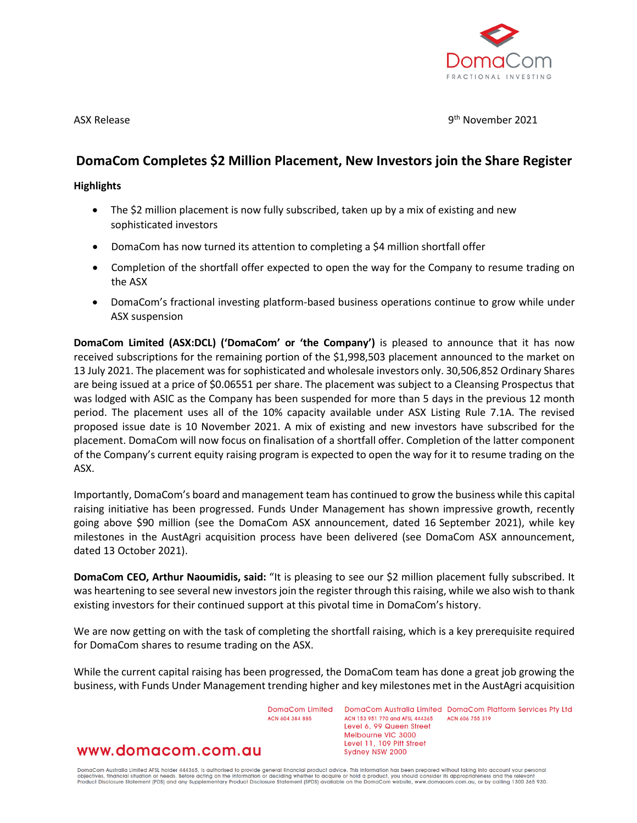

ASX Release 9th November 2021

# **DomaCom Completes \$2 Million Placement, New Investors join the Share Register**

### **Highlights**

- The \$2 million placement is now fully subscribed, taken up by a mix of existing and new sophisticated investors
- DomaCom has now turned its attention to completing a \$4 million shortfall offer
- Completion of the shortfall offer expected to open the way for the Company to resume trading on the ASX
- DomaCom's fractional investing platform-based business operations continue to grow while under ASX suspension

**DomaCom Limited (ASX:DCL) ('DomaCom' or 'the Company')** is pleased to announce that it has now received subscriptions for the remaining portion of the \$1,998,503 placement announced to the market on 13 July 2021. The placement was for sophisticated and wholesale investors only. 30,506,852 Ordinary Shares are being issued at a price of \$0.06551 per share. The placement was subject to a Cleansing Prospectus that was lodged with ASIC as the Company has been suspended for more than 5 days in the previous 12 month period. The placement uses all of the 10% capacity available under ASX Listing Rule 7.1A. The revised proposed issue date is 10 November 2021. A mix of existing and new investors have subscribed for the placement. DomaCom will now focus on finalisation of a shortfall offer. Completion of the latter component of the Company's current equity raising program is expected to open the way for it to resume trading on the ASX.

Importantly, DomaCom's board and management team has continued to grow the business while this capital raising initiative has been progressed. Funds Under Management has shown impressive growth, recently going above \$90 million (see the DomaCom ASX announcement, dated 16 September 2021), while key milestones in the AustAgri acquisition process have been delivered (see DomaCom ASX announcement, dated 13 October 2021).

**DomaCom CEO, Arthur Naoumidis, said:** "It is pleasing to see our \$2 million placement fully subscribed. It was heartening to see several new investors join the register through this raising, while we also wish to thank existing investors for their continued support at this pivotal time in DomaCom's history.

We are now getting on with the task of completing the shortfall raising, which is a key prerequisite required for DomaCom shares to resume trading on the ASX.

While the current capital raising has been progressed, the DomaCom team has done a great job growing the business, with Funds Under Management trending higher and key milestones met in the AustAgri acquisition

> DomaCom Limited ACN ANA 384 885

DomaCom Australia Limited DomaCom Platform Services Pty Ltd ACN 153 951 770 and AFSL 444365 ACN 606 755 319 Level 6, 99 Queen Street Melbourne VIC 3000 Level 11, 109 Pitt Street Sydney NSW 2000

## www.domacom.com.au

DomaCom Australia Limited AFSL holder 444365, is authorised to provide general financial product advice. This information has been prepared without taking into account your personal<br>objectives, financial situation or needs